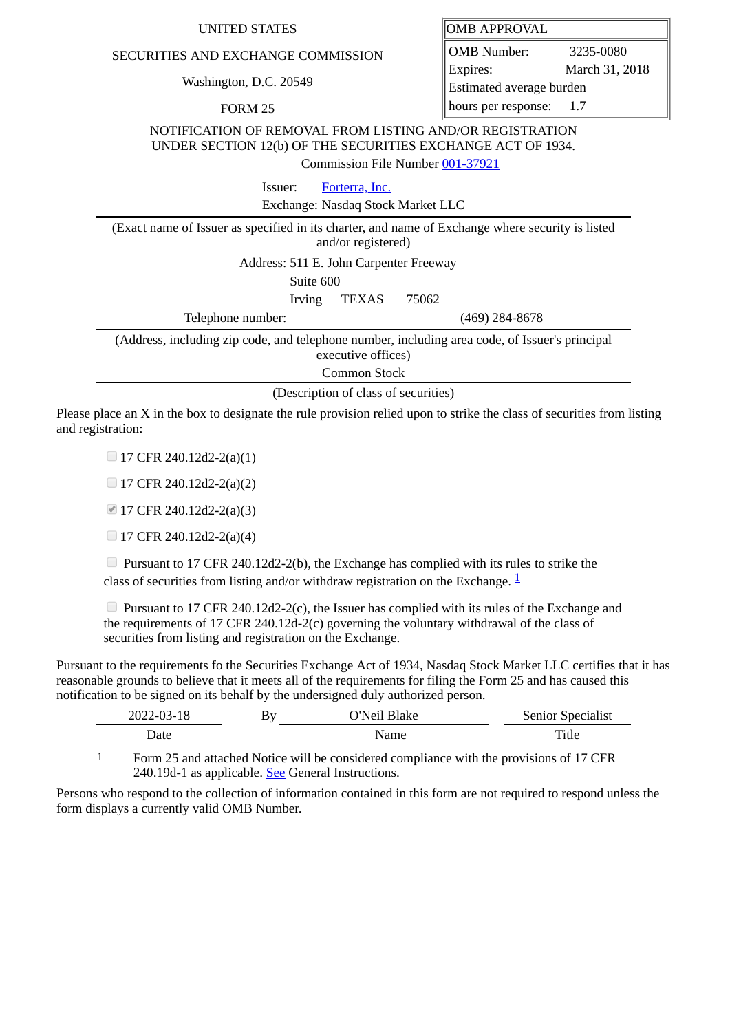## UNITED STATES **OMB** APPROVAL

## SECURITIES AND EXCHANGE COMMISSION

Washington, D.C. 20549

FORM 25

OMB Number: 3235-0080 Expires: March 31, 2018 Estimated average burden hours per response: 1.7

NOTIFICATION OF REMOVAL FROM LISTING AND/OR REGISTRATION UNDER SECTION 12(b) OF THE SECURITIES EXCHANGE ACT OF 1934.

Commission File Number [001-37921](file:///cgi-bin/browse-edgar?action=getcompany&filenum=001-37921)

Issuer: [Forterra, Inc.](http://www.sec.gov/cgi-bin/browse-edgar?action=getcompany&CIK=0001678463)

Exchange: Nasdaq Stock Market LLC

(Exact name of Issuer as specified in its charter, and name of Exchange where security is listed and/or registered)

Address: 511 E. John Carpenter Freeway

Suite 600

Irving TEXAS 75062

Telephone number: (469) 284-8678

(Address, including zip code, and telephone number, including area code, of Issuer's principal executive offices)

Common Stock

(Description of class of securities)

Please place an X in the box to designate the rule provision relied upon to strike the class of securities from listing and registration:

 $\Box$  17 CFR 240.12d2-2(a)(1)

 $\Box$  17 CFR 240.12d2-2(a)(2)

■ 17 CFR 240.12d2-2(a)(3)

 $\Box$  17 CFR 240.12d2-2(a)(4)

**Pursuant to 17 CFR 240.12d2-2(b), the Exchange has complied with its rules to strike the** class of securities from listing and/or withdraw registration on the Exchange.  $\frac{1}{2}$  $\frac{1}{2}$  $\frac{1}{2}$ 

**Pursuant to 17 CFR 240.12d2-2(c), the Issuer has complied with its rules of the Exchange and** the requirements of 17 CFR 240.12d-2(c) governing the voluntary withdrawal of the class of securities from listing and registration on the Exchange.

Pursuant to the requirements fo the Securities Exchange Act of 1934, Nasdaq Stock Market LLC certifies that it has reasonable grounds to believe that it meets all of the requirements for filing the Form 25 and has caused this notification to be signed on its behalf by the undersigned duly authorized person.

| 2022-03-18 | вy | O'Neil Blake | Senior Specialist |
|------------|----|--------------|-------------------|
| Jate       |    | Name         | Title             |

<span id="page-0-0"></span>1 Form 25 and attached Notice will be considered compliance with the provisions of 17 CFR 240.19d-1 as applicable. See General Instructions.

Persons who respond to the collection of information contained in this form are not required to respond unless the form displays a currently valid OMB Number.